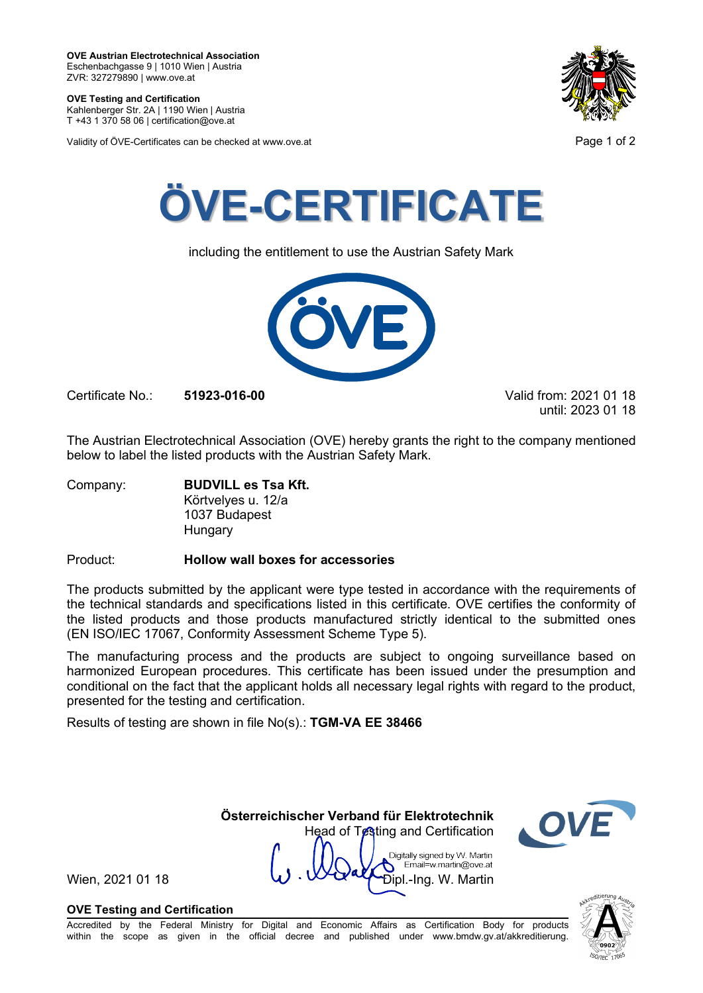**OVE Testing and Certification** Kahlenberger Str. 2A | 1190 Wien | Austria

T +43 1 370 58 06 | certification@ove.at

Validity of ÖVE-Certificates can be checked at www.ove.at **Page 1 of 2** Page 1 of 2





including the entitlement to use the Austrian Safety Mark



Certificate No.: **51923-016-00** Valid from: 2021 01 18

until: 2023 01 18

The Austrian Electrotechnical Association (OVE) hereby grants the right to the company mentioned below to label the listed products with the Austrian Safety Mark.

Company: **BUDVILL es Tsa Kft.** Körtvelyes u. 12/a 1037 Budapest **Hungary** 

Product: **Hollow wall boxes for accessories**

The products submitted by the applicant were type tested in accordance with the requirements of the technical standards and specifications listed in this certificate. OVE certifies the conformity of the listed products and those products manufactured strictly identical to the submitted ones (EN ISO/IEC 17067, Conformity Assessment Scheme Type 5).

The manufacturing process and the products are subject to ongoing surveillance based on harmonized European procedures. This certificate has been issued under the presumption and conditional on the fact that the applicant holds all necessary legal rights with regard to the product, presented for the testing and certification.

Results of testing are shown in file No(s).: **TGM-VA EE 38466**

Head of Testing and Certification Digitally signed by W. Martin Email=w.martin@ove.at

**Österreichischer Verband für Elektrotechnik**

Wien, 2021 01 18  $\mathbf{W} \cdot \mathbf{W}$   $\mathbf{W}$   $\mathbf{W}$   $\mathbf{D}$   $\mathbf{p}$   $\mathbf{L}$   $\mathbf{P}$   $\mathbf{D}$   $\mathbf{p}$   $\mathbf{L}$   $\mathbf{P}$   $\mathbf{S}$   $\mathbf{R}$   $\mathbf{S}$   $\mathbf{L}$   $\mathbf{S}$   $\mathbf{L}$   $\mathbf{S}$   $\mathbf{L}$   $\mathbf{S}$   $\mathbf{L}$   $\mathbf{S}$ 

### **OVE Testing and Certification**

Accredited by the Federal Ministry for Digital and Economic Affairs as Certification Body for products within the scope as given in the official decree and published under www.bmdw.gv.at/akkreditierung.